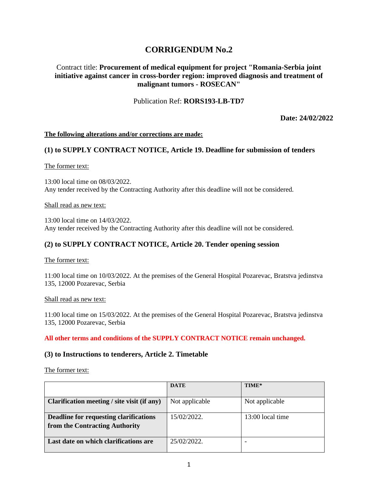# **CORRIGENDUM No.2**

# Contract title: **Procurement of medical equipment for project "Romania-Serbia joint initiative against cancer in cross-border region: improved diagnosis and treatment of malignant tumors - ROSECAN"**

# Publication Ref: **RORS193-LB-TD7**

**Date: 24/02/2022**

### **The following alterations and/or corrections are made:**

### **(1) to SUPPLY CONTRACT NOTICE, Article 19. Deadline for submission of tenders**

The former text:

13:00 local time on 08/03/2022. Any tender received by the Contracting Authority after this deadline will not be considered.

#### Shall read as new text:

13:00 local time on 14/03/2022. Any tender received by the Contracting Authority after this deadline will not be considered.

# **(2) to SUPPLY CONTRACT NOTICE, Article 20. Tender opening session**

The former text:

11:00 local time on 10/03/2022. At the premises of the General Hospital Pozarevac, Bratstva jedinstva 135, 12000 Pozarevac, Serbia

Shall read as new text:

11:00 local time on 15/03/2022. At the premises of the General Hospital Pozarevac, Bratstva jedinstva 135, 12000 Pozarevac, Serbia

#### **All other terms and conditions of the SUPPLY CONTRACT NOTICE remain unchanged.**

### **(3) to Instructions to tenderers, Article 2. Timetable**

The former text:

|                                             | <b>DATE</b>    | TIME*              |
|---------------------------------------------|----------------|--------------------|
|                                             |                |                    |
| Clarification meeting / site visit (if any) | Not applicable | Not applicable     |
|                                             |                |                    |
| Deadline for requesting clarifications      | 15/02/2022.    | $13:00$ local time |
| from the Contracting Authority              |                |                    |
|                                             |                |                    |
| Last date on which clarifications are       | 25/02/2022     |                    |
|                                             |                |                    |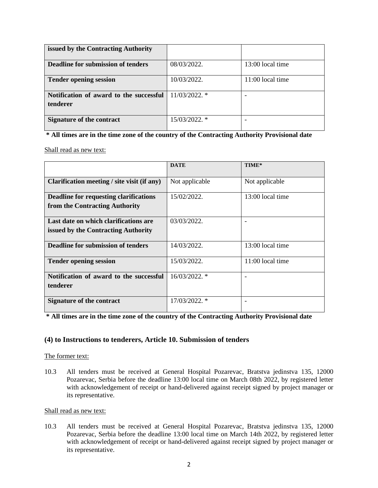| issued by the Contracting Authority       |                  |                    |
|-------------------------------------------|------------------|--------------------|
| <b>Deadline for submission of tenders</b> | 08/03/2022.      | $13:00$ local time |
|                                           |                  |                    |
| <b>Tender opening session</b>             | 10/03/2022.      | $11:00$ local time |
|                                           |                  |                    |
| Notification of award to the successful   | $11/03/2022$ . * |                    |
| <b>tenderer</b>                           |                  |                    |
|                                           |                  |                    |
| <b>Signature of the contract</b>          | $15/03/2022$ . * |                    |
|                                           |                  |                    |

**\* All times are in the time zone of the country of the Contracting Authority Provisional date**

Shall read as new text:

|                                                                                 | <b>DATE</b>      | TIME*              |
|---------------------------------------------------------------------------------|------------------|--------------------|
| Clarification meeting / site visit (if any)                                     | Not applicable   | Not applicable     |
| <b>Deadline for requesting clarifications</b><br>from the Contracting Authority | 15/02/2022.      | $13:00$ local time |
| Last date on which clarifications are<br>issued by the Contracting Authority    | 03/03/2022.      |                    |
| <b>Deadline for submission of tenders</b>                                       | 14/03/2022.      | 13:00 local time   |
| <b>Tender opening session</b>                                                   | 15/03/2022.      | 11:00 local time   |
| Notification of award to the successful<br>tenderer                             | $16/03/2022$ *   |                    |
| Signature of the contract                                                       | $17/03/2022$ . * |                    |

**\* All times are in the time zone of the country of the Contracting Authority Provisional date**

### **(4) to Instructions to tenderers, Article 10. Submission of tenders**

### The former text:

10.3 All tenders must be received at General Hospital Pozarevac, Bratstva jedinstva 135, 12000 Pozarevac, Serbia before the deadline 13:00 local time on March 08th 2022, by registered letter with acknowledgement of receipt or hand-delivered against receipt signed by project manager or its representative.

### Shall read as new text:

10.3 All tenders must be received at General Hospital Pozarevac, Bratstva jedinstva 135, 12000 Pozarevac, Serbia before the deadline 13:00 local time on March 14th 2022, by registered letter with acknowledgement of receipt or hand-delivered against receipt signed by project manager or its representative.